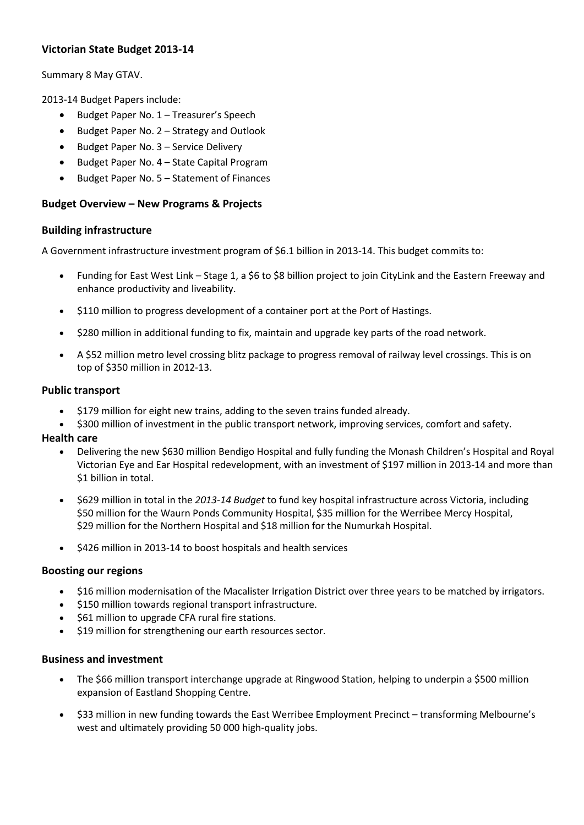# **Victorian State Budget 2013-14**

Summary 8 May GTAV.

2013-14 Budget Papers include:

- Budget Paper No. 1 Treasurer's Speech
- Budget Paper No. 2 Strategy and Outlook
- Budget Paper No. 3 Service Delivery
- Budget Paper No. 4 State Capital Program
- Budget Paper No. 5 Statement of Finances

#### **Budget Overview – New Programs & Projects**

#### **Building infrastructure**

A Government infrastructure investment program of \$6.1 billion in 2013-14. This budget commits to:

- Funding for East West Link Stage 1, a \$6 to \$8 billion project to join CityLink and the Eastern Freeway and enhance productivity and liveability.
- \$110 million to progress development of a container port at the Port of Hastings.
- \$280 million in additional funding to fix, maintain and upgrade key parts of the road network.
- A \$52 million metro level crossing blitz package to progress removal of railway level crossings. This is on top of \$350 million in 2012-13.

#### **Public transport**

- \$179 million for eight new trains, adding to the seven trains funded already.
- \$300 million of investment in the public transport network, improving services, comfort and safety.

#### **Health care**

- Delivering the new \$630 million Bendigo Hospital and fully funding the Monash Children's Hospital and Royal Victorian Eye and Ear Hospital redevelopment, with an investment of \$197 million in 2013-14 and more than \$1 billion in total.
- \$629 million in total in the *2013-14 Budget* to fund key hospital infrastructure across Victoria, including \$50 million for the Waurn Ponds Community Hospital, \$35 million for the Werribee Mercy Hospital, \$29 million for the Northern Hospital and \$18 million for the Numurkah Hospital.
- \$426 million in 2013-14 to boost hospitals and health services

#### **Boosting our regions**

- \$16 million modernisation of the Macalister Irrigation District over three years to be matched by irrigators.
- \$150 million towards regional transport infrastructure.
- \$61 million to upgrade CFA rural fire stations.
- \$19 million for strengthening our earth resources sector.

#### **Business and investment**

- The \$66 million transport interchange upgrade at Ringwood Station, helping to underpin a \$500 million expansion of Eastland Shopping Centre.
- \$33 million in new funding towards the East Werribee Employment Precinct transforming Melbourne's west and ultimately providing 50 000 high-quality jobs.